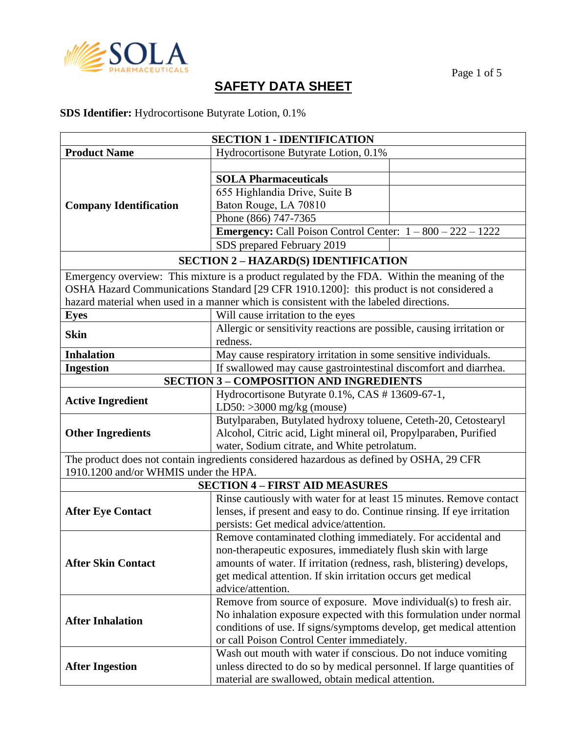

| <b>SECTION 1 - IDENTIFICATION</b>     |                                                                                               |
|---------------------------------------|-----------------------------------------------------------------------------------------------|
| <b>Product Name</b>                   | Hydrocortisone Butyrate Lotion, 0.1%                                                          |
| <b>Company Identification</b>         |                                                                                               |
|                                       | <b>SOLA Pharmaceuticals</b>                                                                   |
|                                       | 655 Highlandia Drive, Suite B                                                                 |
|                                       | Baton Rouge, LA 70810                                                                         |
|                                       | Phone (866) 747-7365                                                                          |
|                                       | <b>Emergency:</b> Call Poison Control Center: $1 - 800 - 222 - 1222$                          |
|                                       | SDS prepared February 2019                                                                    |
|                                       | <b>SECTION 2 - HAZARD(S) IDENTIFICATION</b>                                                   |
|                                       | Emergency overview: This mixture is a product regulated by the FDA. Within the meaning of the |
|                                       | OSHA Hazard Communications Standard [29 CFR 1910.1200]: this product is not considered a      |
|                                       | hazard material when used in a manner which is consistent with the labeled directions.        |
| <b>Eyes</b>                           | Will cause irritation to the eyes                                                             |
|                                       | Allergic or sensitivity reactions are possible, causing irritation or                         |
| <b>Skin</b>                           | redness.                                                                                      |
| <b>Inhalation</b>                     | May cause respiratory irritation in some sensitive individuals.                               |
| <b>Ingestion</b>                      | If swallowed may cause gastrointestinal discomfort and diarrhea.                              |
|                                       | <b>SECTION 3 - COMPOSITION AND INGREDIENTS</b>                                                |
|                                       | Hydrocortisone Butyrate 0.1%, CAS # 13609-67-1,                                               |
| <b>Active Ingredient</b>              | LD50: $>3000$ mg/kg (mouse)                                                                   |
|                                       | Butylparaben, Butylated hydroxy toluene, Ceteth-20, Cetostearyl                               |
| <b>Other Ingredients</b>              | Alcohol, Citric acid, Light mineral oil, Propylparaben, Purified                              |
|                                       | water, Sodium citrate, and White petrolatum.                                                  |
|                                       | The product does not contain ingredients considered hazardous as defined by OSHA, 29 CFR      |
| 1910.1200 and/or WHMIS under the HPA. |                                                                                               |
|                                       | <b>SECTION 4 - FIRST AID MEASURES</b>                                                         |
|                                       | Rinse cautiously with water for at least 15 minutes. Remove contact                           |
| <b>After Eye Contact</b>              | lenses, if present and easy to do. Continue rinsing. If eye irritation                        |
|                                       | persists: Get medical advice/attention.                                                       |
|                                       | Remove contaminated clothing immediately. For accidental and                                  |
|                                       | non-therapeutic exposures, immediately flush skin with large                                  |
| <b>After Skin Contact</b>             | amounts of water. If irritation (redness, rash, blistering) develops,                         |
|                                       | get medical attention. If skin irritation occurs get medical                                  |
|                                       | advice/attention.                                                                             |
| <b>After Inhalation</b>               | Remove from source of exposure. Move individual(s) to fresh air.                              |
|                                       | No inhalation exposure expected with this formulation under normal                            |
|                                       | conditions of use. If signs/symptoms develop, get medical attention                           |
|                                       | or call Poison Control Center immediately.                                                    |
| <b>After Ingestion</b>                | Wash out mouth with water if conscious. Do not induce vomiting                                |
|                                       | unless directed to do so by medical personnel. If large quantities of                         |
|                                       | material are swallowed, obtain medical attention.                                             |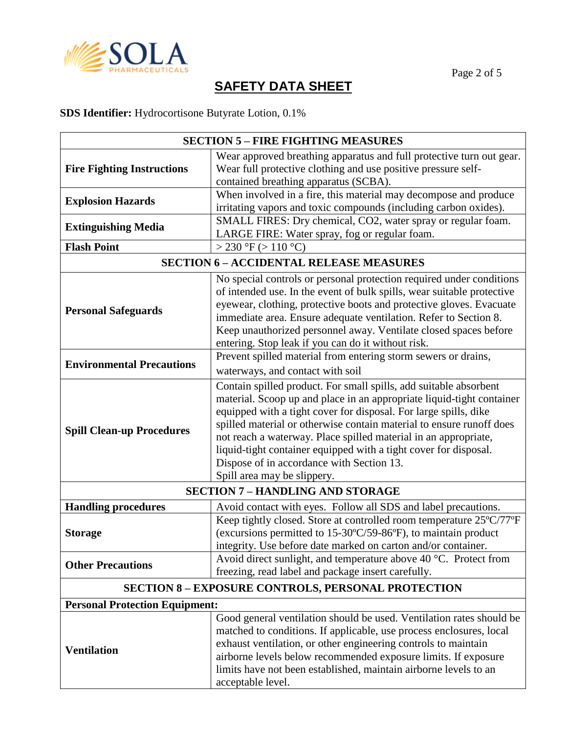

## Page 2 of 5

# **SAFETY DATA SHEET**

| <b>SECTION 5 - FIRE FIGHTING MEASURES</b>      |                                                                                                                                                                                                                                                                                                                                                                                                                                                                                                           |  |
|------------------------------------------------|-----------------------------------------------------------------------------------------------------------------------------------------------------------------------------------------------------------------------------------------------------------------------------------------------------------------------------------------------------------------------------------------------------------------------------------------------------------------------------------------------------------|--|
| <b>Fire Fighting Instructions</b>              | Wear approved breathing apparatus and full protective turn out gear.<br>Wear full protective clothing and use positive pressure self-<br>contained breathing apparatus (SCBA).                                                                                                                                                                                                                                                                                                                            |  |
| <b>Explosion Hazards</b>                       | When involved in a fire, this material may decompose and produce<br>irritating vapors and toxic compounds (including carbon oxides).                                                                                                                                                                                                                                                                                                                                                                      |  |
| <b>Extinguishing Media</b>                     | SMALL FIRES: Dry chemical, CO2, water spray or regular foam.<br>LARGE FIRE: Water spray, fog or regular foam.                                                                                                                                                                                                                                                                                                                                                                                             |  |
| <b>Flash Point</b>                             | > 230 °F (> 110 °C)                                                                                                                                                                                                                                                                                                                                                                                                                                                                                       |  |
| <b>SECTION 6 - ACCIDENTAL RELEASE MEASURES</b> |                                                                                                                                                                                                                                                                                                                                                                                                                                                                                                           |  |
| <b>Personal Safeguards</b>                     | No special controls or personal protection required under conditions<br>of intended use. In the event of bulk spills, wear suitable protective<br>eyewear, clothing, protective boots and protective gloves. Evacuate<br>immediate area. Ensure adequate ventilation. Refer to Section 8.<br>Keep unauthorized personnel away. Ventilate closed spaces before<br>entering. Stop leak if you can do it without risk.                                                                                       |  |
| <b>Environmental Precautions</b>               | Prevent spilled material from entering storm sewers or drains,<br>waterways, and contact with soil                                                                                                                                                                                                                                                                                                                                                                                                        |  |
| <b>Spill Clean-up Procedures</b>               | Contain spilled product. For small spills, add suitable absorbent<br>material. Scoop up and place in an appropriate liquid-tight container<br>equipped with a tight cover for disposal. For large spills, dike<br>spilled material or otherwise contain material to ensure runoff does<br>not reach a waterway. Place spilled material in an appropriate,<br>liquid-tight container equipped with a tight cover for disposal.<br>Dispose of in accordance with Section 13.<br>Spill area may be slippery. |  |
|                                                | <b>SECTION 7 - HANDLING AND STORAGE</b>                                                                                                                                                                                                                                                                                                                                                                                                                                                                   |  |
| <b>Handling procedures</b>                     | Avoid contact with eyes. Follow all SDS and label precautions.                                                                                                                                                                                                                                                                                                                                                                                                                                            |  |
| <b>Storage</b>                                 | Keep tightly closed. Store at controlled room temperature 25°C/77°F<br>(excursions permitted to 15-30°C/59-86°F), to maintain product<br>integrity. Use before date marked on carton and/or container.                                                                                                                                                                                                                                                                                                    |  |
| <b>Other Precautions</b>                       | Avoid direct sunlight, and temperature above 40 °C. Protect from<br>freezing, read label and package insert carefully.                                                                                                                                                                                                                                                                                                                                                                                    |  |
|                                                | <b>SECTION 8 - EXPOSURE CONTROLS, PERSONAL PROTECTION</b>                                                                                                                                                                                                                                                                                                                                                                                                                                                 |  |
| <b>Personal Protection Equipment:</b>          |                                                                                                                                                                                                                                                                                                                                                                                                                                                                                                           |  |
| <b>Ventilation</b>                             | Good general ventilation should be used. Ventilation rates should be<br>matched to conditions. If applicable, use process enclosures, local<br>exhaust ventilation, or other engineering controls to maintain<br>airborne levels below recommended exposure limits. If exposure<br>limits have not been established, maintain airborne levels to an<br>acceptable level.                                                                                                                                  |  |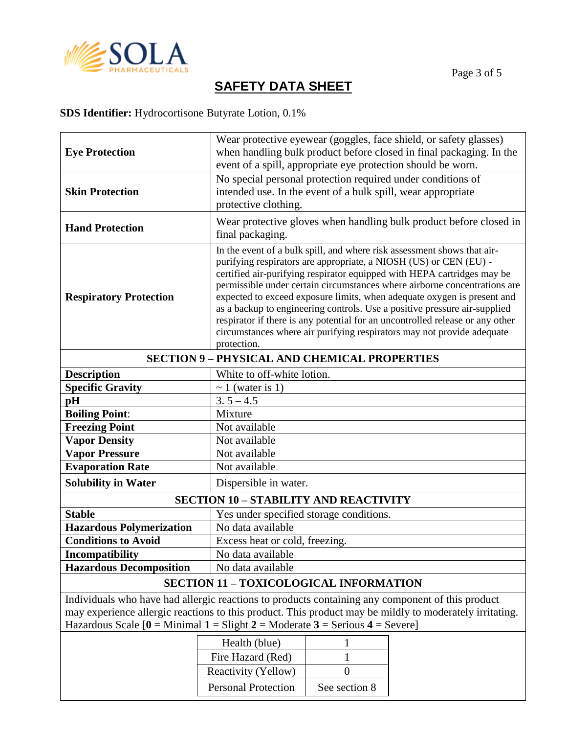

| <b>Eye Protection</b>                                                                                              | Wear protective eyewear (goggles, face shield, or safety glasses)<br>when handling bulk product before closed in final packaging. In the                                                                                                                                                                                                                                                                                                                                                                                                                                                                                               |  |
|--------------------------------------------------------------------------------------------------------------------|----------------------------------------------------------------------------------------------------------------------------------------------------------------------------------------------------------------------------------------------------------------------------------------------------------------------------------------------------------------------------------------------------------------------------------------------------------------------------------------------------------------------------------------------------------------------------------------------------------------------------------------|--|
|                                                                                                                    | event of a spill, appropriate eye protection should be worn.                                                                                                                                                                                                                                                                                                                                                                                                                                                                                                                                                                           |  |
|                                                                                                                    | No special personal protection required under conditions of                                                                                                                                                                                                                                                                                                                                                                                                                                                                                                                                                                            |  |
| <b>Skin Protection</b>                                                                                             | intended use. In the event of a bulk spill, wear appropriate                                                                                                                                                                                                                                                                                                                                                                                                                                                                                                                                                                           |  |
|                                                                                                                    | protective clothing.                                                                                                                                                                                                                                                                                                                                                                                                                                                                                                                                                                                                                   |  |
| <b>Hand Protection</b>                                                                                             | Wear protective gloves when handling bulk product before closed in<br>final packaging.                                                                                                                                                                                                                                                                                                                                                                                                                                                                                                                                                 |  |
| <b>Respiratory Protection</b>                                                                                      | In the event of a bulk spill, and where risk assessment shows that air-<br>purifying respirators are appropriate, a NIOSH (US) or CEN (EU) -<br>certified air-purifying respirator equipped with HEPA cartridges may be<br>permissible under certain circumstances where airborne concentrations are<br>expected to exceed exposure limits, when adequate oxygen is present and<br>as a backup to engineering controls. Use a positive pressure air-supplied<br>respirator if there is any potential for an uncontrolled release or any other<br>circumstances where air purifying respirators may not provide adequate<br>protection. |  |
|                                                                                                                    | <b>SECTION 9 - PHYSICAL AND CHEMICAL PROPERTIES</b>                                                                                                                                                                                                                                                                                                                                                                                                                                                                                                                                                                                    |  |
| <b>Description</b>                                                                                                 | White to off-white lotion.                                                                                                                                                                                                                                                                                                                                                                                                                                                                                                                                                                                                             |  |
| <b>Specific Gravity</b>                                                                                            | $\sim$ 1 (water is 1)                                                                                                                                                                                                                                                                                                                                                                                                                                                                                                                                                                                                                  |  |
| pH                                                                                                                 | $3.5 - 4.5$                                                                                                                                                                                                                                                                                                                                                                                                                                                                                                                                                                                                                            |  |
| <b>Boiling Point:</b>                                                                                              | Mixture                                                                                                                                                                                                                                                                                                                                                                                                                                                                                                                                                                                                                                |  |
| <b>Freezing Point</b>                                                                                              | Not available                                                                                                                                                                                                                                                                                                                                                                                                                                                                                                                                                                                                                          |  |
| <b>Vapor Density</b>                                                                                               | Not available                                                                                                                                                                                                                                                                                                                                                                                                                                                                                                                                                                                                                          |  |
| <b>Vapor Pressure</b>                                                                                              | Not available                                                                                                                                                                                                                                                                                                                                                                                                                                                                                                                                                                                                                          |  |
| <b>Evaporation Rate</b>                                                                                            | Not available                                                                                                                                                                                                                                                                                                                                                                                                                                                                                                                                                                                                                          |  |
| <b>Solubility in Water</b>                                                                                         | Dispersible in water.                                                                                                                                                                                                                                                                                                                                                                                                                                                                                                                                                                                                                  |  |
| <b>SECTION 10 - STABILITY AND REACTIVITY</b>                                                                       |                                                                                                                                                                                                                                                                                                                                                                                                                                                                                                                                                                                                                                        |  |
| <b>Stable</b>                                                                                                      | Yes under specified storage conditions.                                                                                                                                                                                                                                                                                                                                                                                                                                                                                                                                                                                                |  |
| <b>Hazardous Polymerization</b>                                                                                    | No data available                                                                                                                                                                                                                                                                                                                                                                                                                                                                                                                                                                                                                      |  |
| Conditions to Avoid                                                                                                | Excess heat or cold, freezing.                                                                                                                                                                                                                                                                                                                                                                                                                                                                                                                                                                                                         |  |
| Incompatibility                                                                                                    | No data available                                                                                                                                                                                                                                                                                                                                                                                                                                                                                                                                                                                                                      |  |
| <b>Hazardous Decomposition</b>                                                                                     | No data available                                                                                                                                                                                                                                                                                                                                                                                                                                                                                                                                                                                                                      |  |
| <b>SECTION 11 - TOXICOLOGICAL INFORMATION</b>                                                                      |                                                                                                                                                                                                                                                                                                                                                                                                                                                                                                                                                                                                                                        |  |
|                                                                                                                    | Individuals who have had allergic reactions to products containing any component of this product                                                                                                                                                                                                                                                                                                                                                                                                                                                                                                                                       |  |
| may experience allergic reactions to this product. This product may be mildly to moderately irritating.            |                                                                                                                                                                                                                                                                                                                                                                                                                                                                                                                                                                                                                                        |  |
| Hazardous Scale $[0 = \text{Minimal } 1 = \text{Slight } 2 = \text{Modern } 3 = \text{Serious } 4 = \text{Severe}$ |                                                                                                                                                                                                                                                                                                                                                                                                                                                                                                                                                                                                                                        |  |
|                                                                                                                    | Health (blue)                                                                                                                                                                                                                                                                                                                                                                                                                                                                                                                                                                                                                          |  |
|                                                                                                                    | Fire Hazard (Red)                                                                                                                                                                                                                                                                                                                                                                                                                                                                                                                                                                                                                      |  |
|                                                                                                                    | $\overline{0}$<br>Reactivity (Yellow)                                                                                                                                                                                                                                                                                                                                                                                                                                                                                                                                                                                                  |  |
|                                                                                                                    | <b>Personal Protection</b><br>See section 8                                                                                                                                                                                                                                                                                                                                                                                                                                                                                                                                                                                            |  |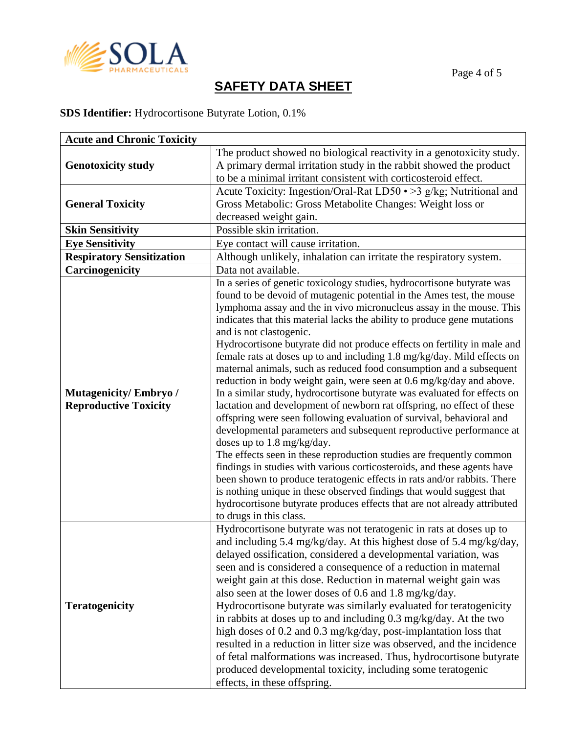

| <b>Acute and Chronic Toxicity</b> |                                                                                                                                                |
|-----------------------------------|------------------------------------------------------------------------------------------------------------------------------------------------|
|                                   | The product showed no biological reactivity in a genotoxicity study.                                                                           |
| <b>Genotoxicity study</b>         | A primary dermal irritation study in the rabbit showed the product                                                                             |
|                                   | to be a minimal irritant consistent with corticosteroid effect.                                                                                |
|                                   | Acute Toxicity: Ingestion/Oral-Rat LD50 • > 3 g/kg; Nutritional and                                                                            |
| <b>General Toxicity</b>           | Gross Metabolic: Gross Metabolite Changes: Weight loss or                                                                                      |
|                                   | decreased weight gain.                                                                                                                         |
| <b>Skin Sensitivity</b>           | Possible skin irritation.                                                                                                                      |
| <b>Eye Sensitivity</b>            | Eye contact will cause irritation.                                                                                                             |
| <b>Respiratory Sensitization</b>  | Although unlikely, inhalation can irritate the respiratory system.                                                                             |
| Carcinogenicity                   | Data not available.                                                                                                                            |
|                                   | In a series of genetic toxicology studies, hydrocortisone butyrate was                                                                         |
|                                   | found to be devoid of mutagenic potential in the Ames test, the mouse                                                                          |
|                                   | lymphoma assay and the in vivo micronucleus assay in the mouse. This                                                                           |
|                                   | indicates that this material lacks the ability to produce gene mutations                                                                       |
|                                   | and is not clastogenic.                                                                                                                        |
|                                   | Hydrocortisone butyrate did not produce effects on fertility in male and                                                                       |
|                                   | female rats at doses up to and including 1.8 mg/kg/day. Mild effects on                                                                        |
|                                   | maternal animals, such as reduced food consumption and a subsequent                                                                            |
| <b>Mutagenicity/Embryo/</b>       | reduction in body weight gain, were seen at 0.6 mg/kg/day and above.                                                                           |
|                                   | In a similar study, hydrocortisone butyrate was evaluated for effects on                                                                       |
| <b>Reproductive Toxicity</b>      | lactation and development of newborn rat offspring, no effect of these<br>offspring were seen following evaluation of survival, behavioral and |
|                                   | developmental parameters and subsequent reproductive performance at                                                                            |
|                                   | doses up to 1.8 mg/kg/day.                                                                                                                     |
|                                   | The effects seen in these reproduction studies are frequently common                                                                           |
|                                   | findings in studies with various corticosteroids, and these agents have                                                                        |
|                                   | been shown to produce teratogenic effects in rats and/or rabbits. There                                                                        |
|                                   | is nothing unique in these observed findings that would suggest that                                                                           |
|                                   | hydrocortisone butyrate produces effects that are not already attributed                                                                       |
|                                   | to drugs in this class.                                                                                                                        |
|                                   | Hydrocortisone butyrate was not teratogenic in rats at doses up to                                                                             |
|                                   | and including 5.4 mg/kg/day. At this highest dose of 5.4 mg/kg/day,                                                                            |
|                                   | delayed ossification, considered a developmental variation, was                                                                                |
|                                   | seen and is considered a consequence of a reduction in maternal                                                                                |
|                                   | weight gain at this dose. Reduction in maternal weight gain was                                                                                |
|                                   | also seen at the lower doses of 0.6 and 1.8 mg/kg/day.                                                                                         |
| <b>Teratogenicity</b>             | Hydrocortisone butyrate was similarly evaluated for teratogenicity                                                                             |
|                                   | in rabbits at doses up to and including 0.3 mg/kg/day. At the two                                                                              |
|                                   | high doses of 0.2 and 0.3 mg/kg/day, post-implantation loss that                                                                               |
|                                   | resulted in a reduction in litter size was observed, and the incidence                                                                         |
|                                   | of fetal malformations was increased. Thus, hydrocortisone butyrate                                                                            |
|                                   | produced developmental toxicity, including some teratogenic                                                                                    |
|                                   | effects, in these offspring.                                                                                                                   |